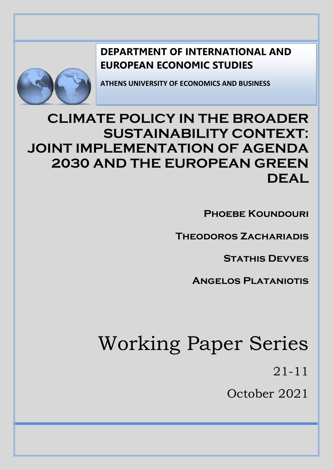# **DEPARTMENT OF INTERNATIONAL AND EUROPEAN ECONOMIC STUDIES**



**ATHENS UNIVERSITY OF ECONOMICS AND BUSINESS**

# **CLIMATE POLICY IN THE BROADER SUSTAINABILITY CONTEXT: JOINT IMPLEMENTATION OF AGENDA 2030 AND THE EUROPEAN GREEN DEAL**

**PHOEBE KOUNDOURI** 

**Theodoros Zachariadis**

**Stathis Devves**

**Angelos Plataniotis**

# Working Paper Series

21-11

October 2021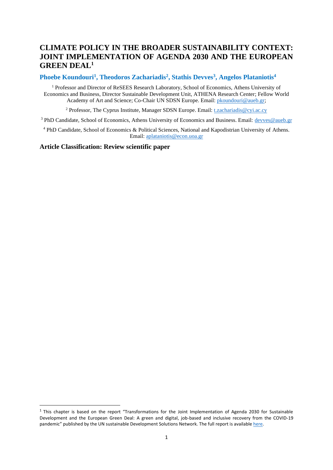# **CLIMATE POLICY IN THE BROADER SUSTAINABILITY CONTEXT: JOINT IMPLEMENTATION OF AGENDA 2030 AND THE EUROPEAN GREEN DEAL<sup>1</sup>**

# **Phoebe Koundouri<sup>1</sup> , Theodoros Zachariadis<sup>2</sup> , Stathis Devves<sup>3</sup> , Angelos Plataniotis<sup>4</sup>**

<sup>1</sup> Professor and Director of ReSEES Research Laboratory, School of Economics, Athens University of Economics and Business, Director Sustainable Development Unit, ATHENA Research Center; Fellow World Academy of Art and Science; Co-Chair UN SDSN Europe. Email: *pkoundouri@aueb.gr*;

<sup>2</sup> Professor, The Cyprus Institute, Manager SDSN Europe. Email: [t.zachariadis@cyi.ac.cy](mailto:t.zachariadis@cyi.ac.cy)

<sup>3</sup> PhD Candidate, School of Economics, Athens University of Economics and Business. Email: [devves@aueb.gr](mailto:devves@aueb.gr)

<sup>4</sup> PhD Candidate, School of Economics & Political Sciences, National and Kapodistrian University of Athens. Email: [aplataniotis@econ.uoa.gr](mailto:aplataniotis@econ.uoa.gr)

# **Article Classification: Review scientific paper**

<sup>&</sup>lt;sup>1</sup> This chapter is based on the report "Transformations for the Joint Implementation of Agenda 2030 for Sustainable Development and the European Green Deal: A green and digital, job-based and inclusive recovery from the COVID-19 pandemic" published by the UN sustainable Development Solutions Network. The full report is availabl[e here.](https://resources.unsdsn.org/transformations-for-the-joint-implementation-of-agenda-2030-the-sustainable-development-goals-and-the-european-green-deal-a-green-and-digital-job-based-and-inclusive-recovery-from-covid-19-pandemic)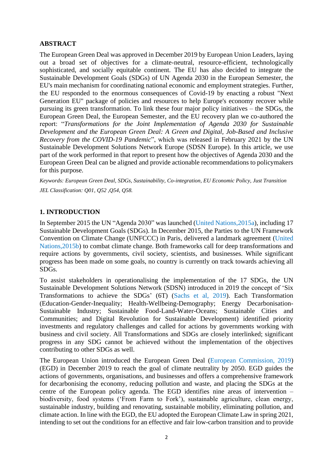# **ABSTRACT**

The European Green Deal was approved in December 2019 by European Union Leaders, laying out a broad set of objectives for a climate-neutral, resource-efficient, technologically sophisticated, and socially equitable continent. The EU has also decided to integrate the Sustainable Development Goals (SDGs) of UN Agenda 2030 in the European Semester, the EU's main mechanism for coordinating national economic and employment strategies. Further, the EU responded to the enormous consequences of Covid-19 by enacting a robust "Next Generation EU" package of policies and resources to help Europe's economy recover while pursuing its green transformation. To link these four major policy initiatives – the SDGs, the European Green Deal, the European Semester, and the EU recovery plan we co-authored the report: "*Transformations for the Joint Implementation of Agenda 2030 for Sustainable Development and the European Green Deal: A Green and Digital, Job-Based and Inclusive Recovery from the COVID-19 Pandemic*", which was released in February 2021 by the UN Sustainable Development Solutions Network Europe (SDSN Europe). In this article, we use part of the work performed in that report to present how the objectives of Agenda 2030 and the European Green Deal can be aligned and provide actionable recommendations to policymakers for this purpose.

*Keywords: European Green Deal, SDGs, Sustainability, Co-integration, EU Economic Policy, Just Transition JEL Classification: Q01, Q52 ,Q54, Q58.*

# **1. INTRODUCTION**

In September 2015 the UN "Agenda 2030" was launched (United Nations,2015a), including 17 Sustainable Development Goals (SDGs). In December 2015, the Parties to the UN Framework Convention on Climate Change (UNFCCC) in Paris, delivered a landmark agreement (United Nations,2015b) to combat climate change. Both frameworks call for deep transformations and require actions by governments, civil society, scientists, and businesses. While significant progress has been made on some goals, no country is currently on track towards achieving all SDGs.

To assist stakeholders in operationalising the implementation of the 17 SDGs, the UN Sustainable Development Solutions Network (SDSN) introduced in 2019 the concept of 'Six Transformations to achieve the SDGs' (6T) (Sachs et al, 2019). Each Transformation (Education-Gender-Inequality; Health-Wellbeing-Demography; Energy Decarbonisation-Sustainable Industry; Sustainable Food-Land-Water-Oceans; Sustainable Cities and Communities; and Digital Revolution for Sustainable Development) identified priority investments and regulatory challenges and called for actions by governments working with business and civil society. All Transformations and SDGs are closely interlinked; significant progress in any SDG cannot be achieved without the implementation of the objectives contributing to other SDGs as well.

The European Union introduced the European Green Deal (European Commission, 2019) (EGD) in December 2019 to reach the goal of climate neutrality by 2050. EGD guides the actions of governments, organisations, and businesses and offers a comprehensive framework for decarbonising the economy, reducing pollution and waste, and placing the SDGs at the centre of the European policy agenda. The EGD identifies nine areas of intervention – biodiversity, food systems ('From Farm to Fork'), sustainable agriculture, clean energy, sustainable industry, building and renovating, sustainable mobility, eliminating pollution, and climate action. In line with the EGD, the EU adopted the European Climate Law in spring 2021, intending to set out the conditions for an effective and fair low-carbon transition and to provide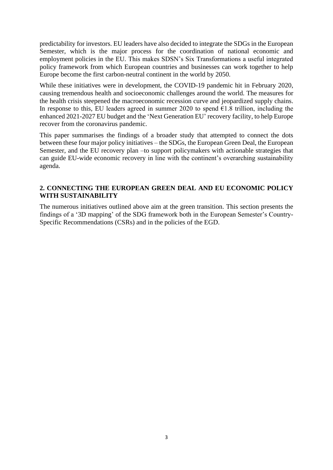predictability for investors. EU leaders have also decided to integrate the SDGs in the European Semester, which is the major process for the coordination of national economic and employment policies in the EU. This makes SDSN's Six Transformations a useful integrated policy framework from which European countries and businesses can work together to help Europe become the first carbon-neutral continent in the world by 2050.

While these initiatives were in development, the COVID-19 pandemic hit in February 2020, causing tremendous health and socioeconomic challenges around the world. The measures for the health crisis steepened the macroeconomic recession curve and jeopardized supply chains. In response to this, EU leaders agreed in summer 2020 to spend  $\epsilon$ 1.8 trillion, including the enhanced 2021-2027 EU budget and the 'Next Generation EU' recovery facility, to help Europe recover from the coronavirus pandemic.

This paper summarises the findings of a broader study that attempted to connect the dots between these four major policy initiatives – the SDGs, the European Green Deal, the European Semester, and the EU recovery plan –to support policymakers with actionable strategies that can guide EU-wide economic recovery in line with the continent's overarching sustainability agenda.

# **2. CONNECTING THE EUROPEAN GREEN DEAL AND EU ECONOMIC POLICY WITH SUSTAINABILITY**

The numerous initiatives outlined above aim at the green transition. This section presents the findings of a '3D mapping' of the SDG framework both in the European Semester's Country-Specific Recommendations (CSRs) and in the policies of the EGD.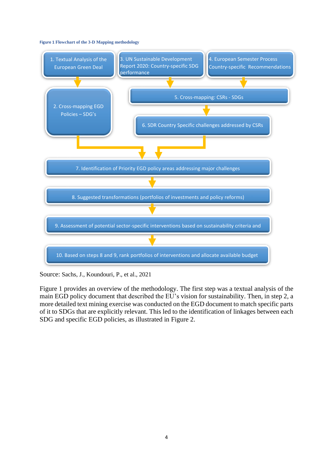#### **Figure 1 Flowchart of the 3-D Mapping methodology**



Source: Sachs, J., Koundouri, P., et al., 2021

Figure 1 provides an overview of the methodology. The first step was a textual analysis of the main EGD policy document that described the EU's vision for sustainability. Then, in step 2, a more detailed text mining exercise was conducted on the EGD document to match specific parts of it to SDGs that are explicitly relevant. This led to the identification of linkages between each SDG and specific EGD policies, as illustrated in Figure 2.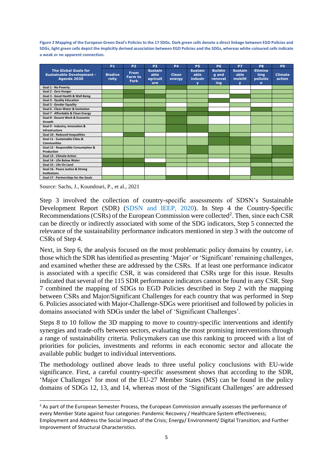**Figure 2 Mapping of the European Green Deal's Policies to the 17 SDGs. Dark green cells denote a direct linkage between EGD Policies and SDGs, light green cells depict the implicitly derived association between EGD Policies and the SDGs, whereas white-coloured cells indicate a weak or no apparent connection.**

|                                                                                | <b>P1</b>               | P <sub>2</sub>                        | P <sub>3</sub>                            | <b>P4</b>              | <b>P5</b>                                                    | <b>P6</b>                                        | P7                                                           | P <sub>8</sub>                                    | P <sub>9</sub>           |
|--------------------------------------------------------------------------------|-------------------------|---------------------------------------|-------------------------------------------|------------------------|--------------------------------------------------------------|--------------------------------------------------|--------------------------------------------------------------|---------------------------------------------------|--------------------------|
| <b>The Global Goals for</b><br><b>Sustainable Development -</b><br>Agenda 2030 | <b>Biodive</b><br>rsity | <b>From</b><br>Farm to<br><b>Fork</b> | <b>Sustain</b><br>able<br>agricult<br>ure | <b>Clean</b><br>energy | <b>Sustain</b><br>able<br>industr<br>$\overline{\mathbf{v}}$ | <b>Buildin</b><br><b>q</b> and<br>renovat<br>ing | <b>Sustain</b><br>able<br>mobilit<br>$\overline{\mathbf{v}}$ | <b>Elimina</b><br>ting<br>pollutio<br>$\mathbf n$ | <b>Climate</b><br>action |
| Goal 1 - No Poverty                                                            |                         |                                       |                                           |                        |                                                              |                                                  |                                                              |                                                   |                          |
| Goal 2 - Zero Hunger                                                           |                         |                                       |                                           |                        |                                                              |                                                  |                                                              |                                                   |                          |
| Goal 3 - Good Health & Well Being                                              |                         |                                       |                                           |                        |                                                              |                                                  |                                                              |                                                   |                          |
| <b>Goal 4 - Quality Education</b>                                              |                         |                                       |                                           |                        |                                                              |                                                  |                                                              |                                                   |                          |
| <b>Goal 5 - Gender Equality</b>                                                |                         |                                       |                                           |                        |                                                              |                                                  |                                                              |                                                   |                          |
| <b>Goal 6 - Clean Water &amp; Sanitation</b>                                   |                         |                                       |                                           |                        |                                                              |                                                  |                                                              |                                                   |                          |
| Goal 7 - Affordable & Clean Energy                                             |                         |                                       |                                           |                        |                                                              |                                                  |                                                              |                                                   |                          |
| Goal 8 - Decent Work & Economic<br>Growth                                      |                         |                                       |                                           |                        |                                                              |                                                  |                                                              |                                                   |                          |
| Goal 9 - Industry, Innovation &<br>Infrastructure                              |                         |                                       |                                           |                        |                                                              |                                                  |                                                              |                                                   |                          |
| Goal 10 - Reduced Inequalities                                                 |                         |                                       |                                           |                        |                                                              |                                                  |                                                              |                                                   |                          |
| Goal 11 - Sustainable Cities &<br><b>Communities</b>                           |                         |                                       |                                           |                        |                                                              |                                                  |                                                              |                                                   |                          |
| Goal 12 - Responsible Consumption &<br>Production                              |                         |                                       |                                           |                        |                                                              |                                                  |                                                              |                                                   |                          |
| <b>Goal 13 - Climate Action</b>                                                |                         |                                       |                                           |                        |                                                              |                                                  |                                                              |                                                   |                          |
| Goal 14 - Life Below Water                                                     |                         |                                       |                                           |                        |                                                              |                                                  |                                                              |                                                   |                          |
| Goal 15 - Life On Land                                                         |                         |                                       |                                           |                        |                                                              |                                                  |                                                              |                                                   |                          |
| Goal 16 - Peace Justice & Strong<br><b>Institutions</b>                        |                         |                                       |                                           |                        |                                                              |                                                  |                                                              |                                                   |                          |
| Goal 17 - Partnerships for the Goals                                           |                         |                                       |                                           |                        |                                                              |                                                  |                                                              |                                                   |                          |

Source: Sachs, J., Koundouri, P., et al., 2021

Step 3 involved the collection of country-specific assessments of SDSN's Sustainable Development Report (SDR) (SDSN and IEEP, 2020). In Step 4 the Country-Specific Recommendations (CSRs) of the European Commission were collected<sup>2</sup>. Then, since each CSR can be directly or indirectly associated with some of the SDG indicators, Step 5 connected the relevance of the sustainability performance indicators mentioned in step 3 with the outcome of CSRs of Step 4.

Next, in Step 6, the analysis focused on the most problematic policy domains by country, i.e. those which the SDR has identified as presenting 'Major' or 'Significant' remaining challenges, and examined whether these are addressed by the CSRs. If at least one performance indicator is associated with a specific CSR, it was considered that CSRs urge for this issue. Results indicated that several of the 115 SDR performance indicators cannot be found in any CSR. Step 7 combined the mapping of SDGs to EGD Policies described in Step 2 with the mapping between CSRs and Major/Significant Challenges for each country that was performed in Step 6. Policies associated with Major-Challenge-SDGs were prioritised and followed by policies in domains associated with SDGs under the label of 'Significant Challenges'.

Steps 8 to 10 follow the 3D mapping to move to country-specific interventions and identify synergies and trade-offs between sectors, evaluating the most promising interventions through a range of sustainability criteria. Policymakers can use this ranking to proceed with a list of priorities for policies, investments and reforms in each economic sector and allocate the available public budget to individual interventions.

The methodology outlined above leads to three useful policy conclusions with EU-wide significance. First, a careful country-specific assessment shows that according to the SDR, 'Major Challenges' for most of the EU-27 Member States (MS) can be found in the policy domains of SDGs 12, 13, and 14, whereas most of the 'Significant Challenges' are addressed

<sup>&</sup>lt;sup>2</sup> As part of the European Semester Process, the European Commission annually assesses the performance of every Member State against four categories: Pandemic Recovery / Healthcare System effectiveness;

Employment and Address the Social Impact of the Crisis; Εnergy/ Environment/ Digital Transition; and Further Improvement of Structural Characteristics.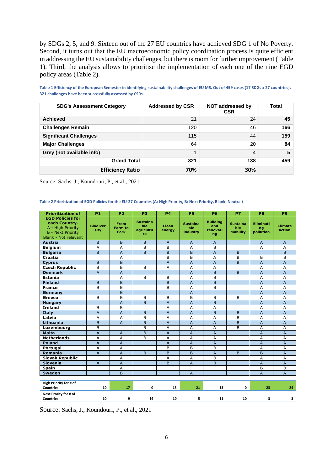by SDGs 2, 5, and 9. Sixteen out of the 27 EU countries have achieved SDG 1 of No Poverty. Second, it turns out that the EU macroeconomic policy coordination process is quite efficient in addressing the EU sustainability challenges, but there is room for further improvement (Table 1). Third, the analysis allows to prioritise the implementation of each one of the nine EGD policy areas (Table 2).

**Table 1 Efficiency of the European Semester in identifying sustainability challenges of EU MS. Out of 459 cases (17 SDGs x 27 countries), 321 challenges have been successfully assessed by CSRs.**

| <b>SDG's Assessment Category</b> | <b>Addressed by CSR</b> | NOT addressed by<br><b>CSR</b> | <b>Total</b> |
|----------------------------------|-------------------------|--------------------------------|--------------|
| <b>Achieved</b>                  | 21                      | 24                             | 45           |
| <b>Challenges Remain</b>         | 120                     | 46                             | 166          |
| <b>Significant Challenges</b>    | 115                     | 44                             | 159          |
| <b>Major Challenges</b>          | 64                      | 20                             | 84           |
| Grey (not available info)        | 1                       | 4                              | 5            |
| <b>Grand Total</b>               | 321                     | 138                            | 459          |
| <b>Efficiency Ratio</b>          | 70%                     | 30%                            |              |

Source: Sachs, J., Koundouri, P., et al., 2021

#### **Table 2 Prioritization of EGD Policies for the EU-27 Countries (A: High Priority, B: Next Priority, Blank: Neutral)**

| <b>Prioritization of</b>                                                                                                 | <b>P1</b>               | <b>P2</b>                             | P <sub>3</sub>                            | <b>P4</b>              | <b>P5</b>                          | <b>P6</b>                                | P7                                 | <b>P8</b>                           | P <sub>9</sub>           |
|--------------------------------------------------------------------------------------------------------------------------|-------------------------|---------------------------------------|-------------------------------------------|------------------------|------------------------------------|------------------------------------------|------------------------------------|-------------------------------------|--------------------------|
| <b>EGD Policies for</b><br>each Country.<br>A - High Priority<br><b>B</b> - Next Priority<br><b>Blank - Not relevant</b> | <b>Biodiver</b><br>sity | <b>From</b><br><b>Farm to</b><br>Fork | <b>Sustaina</b><br>ble<br>agricultu<br>re | <b>Clean</b><br>energy | <b>Sustaina</b><br>ble<br>industry | <b>Building</b><br>and<br>renovati<br>ng | Sustaina<br><b>ble</b><br>mobility | <b>Eliminati</b><br>ng<br>pollution | <b>Climate</b><br>action |
| <b>Austria</b>                                                                                                           | $\mathsf B$             | B                                     | B                                         | $\overline{A}$         | $\mathsf{A}$                       | $\overline{A}$                           |                                    | $\overline{A}$                      | $\overline{A}$           |
| <b>Belgium</b>                                                                                                           | Α                       | $\overline{A}$                        | B                                         | B                      | A                                  | B                                        |                                    | A                                   | A                        |
| <b>Bulgaria</b>                                                                                                          | B                       | $\overline{A}$                        | B                                         | B                      | B                                  | $\overline{A}$                           | B                                  |                                     | B                        |
| Croatia                                                                                                                  |                         | A                                     |                                           | B                      | B                                  | A                                        | B                                  | B                                   | B                        |
| <b>Cyprus</b>                                                                                                            | B                       | B                                     |                                           | $\overline{A}$         | $\overline{A}$                     | $\overline{A}$                           | B                                  | $\overline{A}$                      | $\overline{A}$           |
| <b>Czech Republic</b>                                                                                                    | B                       | B                                     | B                                         | A                      | A                                  | A                                        |                                    | A                                   | A                        |
| <b>Denmark</b>                                                                                                           | $\overline{A}$          | $\overline{A}$                        |                                           |                        | $\overline{A}$                     | B                                        | B                                  | $\overline{A}$                      | $\overline{A}$           |
| <b>Estonia</b>                                                                                                           |                         | A                                     | B                                         | B                      | A                                  | B                                        |                                    | Α                                   | $\overline{A}$           |
| <b>Finland</b>                                                                                                           | B                       | B                                     |                                           | B                      | $\overline{A}$                     | B                                        |                                    | $\overline{A}$                      | $\overline{A}$           |
| <b>France</b>                                                                                                            | B                       | B                                     |                                           | B                      | A                                  | B                                        |                                    | A                                   | A                        |
| Germany                                                                                                                  |                         | B                                     |                                           |                        | $\overline{A}$                     |                                          |                                    | $\overline{A}$                      | $\overline{A}$           |
| Greece                                                                                                                   | B                       | B                                     | B                                         | B                      | B                                  | B                                        | B                                  | Α                                   | A                        |
| <b>Hungary</b>                                                                                                           |                         | $\overline{A}$                        | <sub>B</sub>                              | $\overline{A}$         | $\overline{A}$                     | B                                        |                                    | $\overline{A}$                      | $\overline{A}$           |
| <b>Ireland</b>                                                                                                           | B                       | B                                     |                                           | A                      | A                                  | A                                        |                                    | Α                                   | A                        |
| <b>Italy</b>                                                                                                             | $\overline{A}$          | $\overline{A}$                        | B                                         | $\overline{A}$         | $\mathsf{A}$                       | B                                        | B                                  | $\overline{A}$                      | $\overline{A}$           |
| Latvia                                                                                                                   | Α                       | A                                     | B                                         | Α                      | Α                                  | Α                                        | B                                  | Α                                   | A                        |
| Lithuania                                                                                                                | B                       | $\overline{A}$                        | B                                         | $\overline{A}$         | $\overline{A}$                     | $\overline{A}$                           | B                                  | $\overline{A}$                      | $\overline{A}$           |
| Luxembourg                                                                                                               | B                       |                                       | B                                         | A                      | A                                  | A                                        | B                                  | A                                   | A                        |
| <b>Malta</b>                                                                                                             | $\overline{A}$          | $\overline{A}$                        | B                                         | A                      | $\overline{A}$                     | $\overline{A}$                           |                                    | $\overline{A}$                      | $\overline{A}$           |
| <b>Netherlands</b>                                                                                                       | Α                       | Α                                     | B                                         | A                      | A                                  | Α                                        |                                    | Α                                   | A                        |
| <b>Poland</b>                                                                                                            | $\overline{A}$          | A                                     |                                           | $\overline{A}$         | $\overline{A}$                     | $\overline{A}$                           |                                    | $\overline{A}$                      | $\overline{A}$           |
| Portugal                                                                                                                 | A                       | A                                     |                                           | B                      | B                                  | B                                        |                                    | Α                                   | A                        |
| <b>Romania</b>                                                                                                           | $\overline{A}$          | $\overline{A}$                        | B                                         | B                      | B                                  | $\overline{A}$                           | B.                                 | B                                   | $\overline{A}$           |
| <b>Slovak Republic</b>                                                                                                   |                         | A                                     |                                           | A                      | A                                  | B                                        |                                    | A                                   | A                        |
| <b>Slovenia</b>                                                                                                          | $\overline{A}$          | $\overline{A}$                        |                                           | B                      | $\overline{A}$                     | $\overline{B}$                           |                                    | $\overline{A}$                      | $\overline{A}$           |
| Spain                                                                                                                    |                         | A                                     |                                           |                        |                                    |                                          |                                    | B                                   | B                        |
| <b>Sweden</b>                                                                                                            |                         | B                                     |                                           |                        | $\overline{A}$                     |                                          |                                    | $\overline{A}$                      | $\overline{A}$           |
|                                                                                                                          |                         |                                       |                                           |                        |                                    |                                          |                                    |                                     |                          |
| High Priority for # of<br><b>Countries:</b>                                                                              | 10                      | 17                                    | 0                                         | 13                     | 21                                 | 13                                       | 0                                  | 23                                  | 24                       |
| Next Prority for # of<br><b>Countries:</b>                                                                               | 10                      | 9                                     | 14                                        | 10                     | 5                                  | 11                                       | 10                                 | 3                                   | 3                        |
|                                                                                                                          |                         |                                       |                                           |                        |                                    |                                          |                                    |                                     |                          |

Source: Sachs, J., Koundouri, P., et al., 2021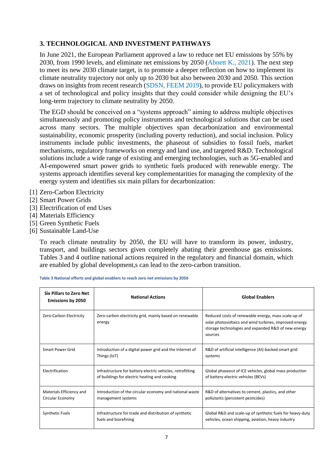# **3. TECHNOLOGICAL AND INVESTMENT PATHWAYS**

In June 2021, the European Parliament approved a law to reduce net EU emissions by 55% by 2030, from 1990 levels, and eliminate net emissions by 2050 (Abnett K., 2021). The next step to meet its new 2030 climate target, is to promote a deeper reflection on how to implement its climate neutrality trajectory not only up to 2030 but also between 2030 and 2050. This section draws on insights from recent research (SDSN, FEEM 2019), to provide EU policymakers with a set of technological and policy insights that they could consider while designing the EU's long-term trajectory to climate neutrality by 2050.

The EGD should be conceived on a "systems approach" aiming to address multiple objectives simultaneously and promoting policy instruments and technological solutions that can be used across many sectors. The multiple objectives span decarbonization and environmental sustainability, economic prosperity (including poverty reduction), and social inclusion. Policy instruments include public investments, the phaseout of subsidies to fossil fuels, market mechanisms, regulatory frameworks on energy and land use, and targeted R&D. Technological solutions include a wide range of existing and emerging technologies, such as 5G-enabled and AI-empowered smart power grids to synthetic fuels produced with renewable energy. The systems approach identifies several key complementarities for managing the complexity of the energy system and identifies six main pillars for decarbonization:

- [1] Zero-Carbon Electricity
- [2] Smart Power Grids
- [3] Electrification of end Uses
- [4] Materials Efficiency
- [5] Green Synthetic Fuels
- [6] Sustainable Land-Use

To reach climate neutrality by 2050, the EU will have to transform its power, industry, transport, and buildings sectors given completely abating their greenhouse gas emissions. Tables 3 and 4 outline national actions required in the regulatory and financial domain, which are enabled by global development,s can lead to the zero-carbon transition.

| <b>Six Pillars to Zero Net</b><br><b>Emissions by 2050</b> | <b>National Actions</b>                                                                                     | <b>Global Enablers</b>                                                                                                                                                          |  |  |
|------------------------------------------------------------|-------------------------------------------------------------------------------------------------------------|---------------------------------------------------------------------------------------------------------------------------------------------------------------------------------|--|--|
| Zero-Carbon Electricity                                    | Zero-carbon electricity grid, mainly based on renewable<br>energy                                           | Reduced costs of renewable energy, mass scale-up of<br>solar photovoltaics and wind turbines, improved energy<br>storage technologies and expanded R&D of new energy<br>sources |  |  |
| Smart Power Grid                                           | Introduction of a digital power grid and the Internet of<br>Things (IoT)                                    | R&D of artificial intelligence (AI)-backed smart grid<br>systems                                                                                                                |  |  |
| Electrification                                            | Infrastructure for battery electric vehicles, retrofitting<br>of buildings for electric heating and cooking | Global phaseout of ICE vehicles, global mass production<br>of battery electric vehicles (BEVs)                                                                                  |  |  |
| Materials Efficiency and<br>Circular Economy               | Introduction of the circular economy and national waste<br>management systems                               | R&D of alternatives to cement, plastics, and other<br>pollutants (persistent pesticides)                                                                                        |  |  |
| Synthetic Fuels                                            | Infrastructure for trade and distribution of synthetic<br>fuels and biorefining                             | Global R&D and scale-up of synthetic fuels for heavy-duty<br>vehicles, ocean shipping, aviation, heavy industry                                                                 |  |  |

**Table 3 National efforts and global enablers to reach zero net emissions by 2050**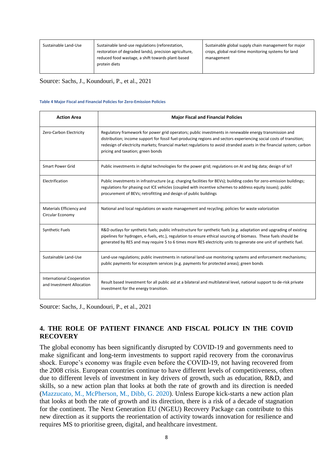| Sustainable Land-Use | Sustainable land-use regulations (reforestation,<br>restoration of degraded lands), precision agriculture,<br>reduced food wastage, a shift towards plant-based<br>protein diets | Sustainable global supply chain management for major<br>crops, global real-time monitoring systems for land<br>management |
|----------------------|----------------------------------------------------------------------------------------------------------------------------------------------------------------------------------|---------------------------------------------------------------------------------------------------------------------------|
|                      |                                                                                                                                                                                  |                                                                                                                           |

Source: Sachs, J., Koundouri, P., et al., 2021

#### **Table 4 Major Fiscal and Financial Policies for Zero-Emission Policies**

| <b>Action Area</b>                                            | <b>Major Fiscal and Financial Policies</b>                                                                                                                                                                                                                                                                                                                                                   |
|---------------------------------------------------------------|----------------------------------------------------------------------------------------------------------------------------------------------------------------------------------------------------------------------------------------------------------------------------------------------------------------------------------------------------------------------------------------------|
| Zero-Carbon Electricity                                       | Regulatory framework for power grid operators; public investments in renewable energy transmission and<br>distribution; income support for fossil fuel-producing regions and sectors experiencing social costs of transition;<br>redesign of electricity markets; financial market regulations to avoid stranded assets in the financial system; carbon<br>pricing and taxation; green bonds |
| <b>Smart Power Grid</b>                                       | Public investments in digital technologies for the power grid; regulations on AI and big data; design of IoT                                                                                                                                                                                                                                                                                 |
| Electrification                                               | Public investments in infrastructure (e.g. charging facilities for BEVs); building codes for zero-emission buildings;<br>regulations for phasing out ICE vehicles (coupled with incentive schemes to address equity issues); public<br>procurement of BEVs; retrofitting and design of public buildings                                                                                      |
| Materials Efficiency and<br>Circular Economy                  | National and local regulations on waste management and recycling; policies for waste valorization                                                                                                                                                                                                                                                                                            |
| <b>Synthetic Fuels</b>                                        | R&D outlays for synthetic fuels; public infrastructure for synthetic fuels (e.g. adaptation and upgrading of existing<br>pipelines for hydrogen, e-fuels, etc.), regulation to ensure ethical sourcing of biomass. These fuels should be<br>generated by RES and may require 5 to 6 times more RES electricity units to generate one unit of synthetic fuel.                                 |
| Sustainable Land-Use                                          | Land-use regulations; public investments in national land-use monitoring systems and enforcement mechanisms;<br>public payments for ecosystem services (e.g. payments for protected areas); green bonds                                                                                                                                                                                      |
| <b>International Cooperation</b><br>and Investment Allocation | Result based Investment for all public aid at a bilateral and multilateral level, national support to de-risk private<br>investment for the energy transition.                                                                                                                                                                                                                               |

Source: Sachs, J., Koundouri, P., et al., 2021

# **4. THE ROLE OF PATIENT FINANCE AND FISCAL POLICY IN THE COVID RECOVERY**

The global economy has been significantly disrupted by COVID-19 and governments need to make significant and long-term investments to support rapid recovery from the coronavirus shock. Europe's economy was fragile even before the COVID-19, not having recovered from the 2008 crisis. European countries continue to have different levels of competitiveness, often due to different levels of investment in key drivers of growth, such as education, R&D, and skills, so a new action plan that looks at both the rate of growth and its direction is needed (Mazzucato, M., McPherson, M., Dibb, G. 2020). Unless Europe kick-starts a new action plan that looks at both the rate of growth and its direction, there is a risk of a decade of stagnation for the continent. The Next Generation EU (NGEU) Recovery Package can contribute to this new direction as it supports the reorientation of activity towards innovation for resilience and requires MS to prioritise green, digital, and healthcare investment.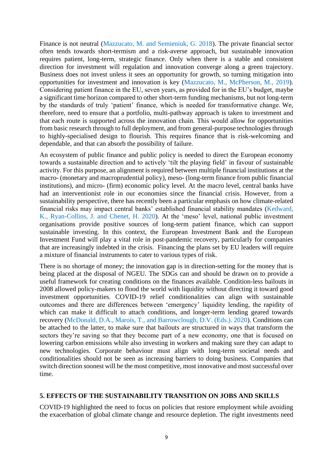Finance is not neutral (Mazzucato, M. and Semieniuk, G. 2018). The private financial sector often tends towards short-termism and a risk-averse approach, but sustainable innovation requires patient, long-term, strategic finance. Only when there is a stable and consistent direction for investment will regulation and innovation converge along a green trajectory. Business does not invest unless it sees an opportunity for growth, so turning mitigation into opportunities for investment and innovation is key (Mazzucato, M., McPherson, M., 2019). Considering patient finance in the EU, seven years, as provided for in the EU's budget, maybe a significant time horizon compared to other short-term funding mechanisms, but not long-term by the standards of truly 'patient' finance, which is needed for transformative change. We, therefore, need to ensure that a portfolio, multi-pathway approach is taken to investment and that each route is supported across the innovation chain. This would allow for opportunities from basic research through to full deployment, and from general-purpose technologies through to highly-specialised design to flourish. This requires finance that is risk-welcoming and dependable, and that can absorb the possibility of failure.

An ecosystem of public finance and public policy is needed to direct the European economy towards a sustainable direction and to actively 'tilt the playing field' in favour of sustainable activity. For this purpose, an alignment is required between multiple financial institutions at the macro- (monetary and macroprudential policy), meso- (long-term finance from public financial institutions), and micro- (firm) economic policy level. At the macro level, central banks have had an interventionist role in our economies since the financial crisis. However, from a sustainability perspective, there has recently been a particular emphasis on how climate-related financial risks may impact central banks' established financial stability mandates (Kedward, K., Ryan-Collins, J. and Chenet, H. 2020). At the 'meso' level, national public investment organisations provide positive sources of long-term patient finance, which can support sustainable investing. In this context, the European Investment Bank and the European Investment Fund will play a vital role in post-pandemic recovery, particularly for companies that are increasingly indebted in the crisis. Financing the plans set by EU leaders will require a mixture of financial instruments to cater to various types of risk.

There is no shortage of money; the innovation gap is in direction-setting for the money that is being placed at the disposal of NGEU. The SDGs can and should be drawn on to provide a useful framework for creating conditions on the finances available. Condition-less bailouts in 2008 allowed policy-makers to flood the world with liquidity without directing it toward good investment opportunities. COVID-19 relief conditionalities can align with sustainable outcomes and there are differences between 'emergency' liquidity lending, the rapidity of which can make it difficult to attach conditions, and longer-term lending geared towards recovery (McDonald, D.A., Marois, T., and Barrowclough, D.V. (Eds.). 2020). Conditions can be attached to the latter, to make sure that bailouts are structured in ways that transform the sectors they're saving so that they become part of a new economy, one that is focused on lowering carbon emissions while also investing in workers and making sure they can adapt to new technologies. Corporate behaviour must align with long-term societal needs and conditionalities should not be seen as increasing barriers to doing business. Companies that switch direction soonest will be the most competitive, most innovative and most successful over time.

## **5. EFFECTS OF THE SUSTAINABILITY TRANSITION ON JOBS AND SKILLS**

COVID-19 highlighted the need to focus on policies that restore employment while avoiding the exacerbation of global climate change and resource depletion. The right investments need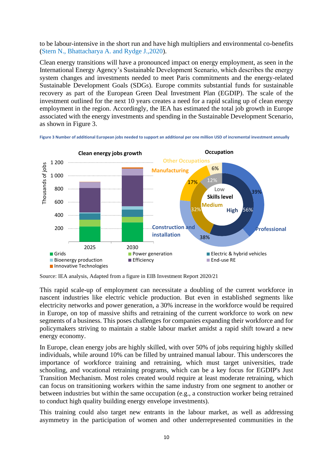to be labour-intensive in the short run and have high multipliers and environmental co-benefits (Stern N., Bhattacharya A. and Rydge J.,2020).

Clean energy transitions will have a pronounced impact on energy employment, as seen in the International Energy Agency's Sustainable Development Scenario, which describes the energy system changes and investments needed to meet Paris commitments and the energy-related Sustainable Development Goals (SDGs). Europe commits substantial funds for sustainable recovery as part of the European Green Deal Investment Plan (EGDIP). The scale of the investment outlined for the next 10 years creates a need for a rapid scaling up of clean energy employment in the region. Accordingly, the IEA has estimated the total job growth in Europe associated with the energy investments and spending in the Sustainable Development Scenario, as shown in Figure 3.

**Figure 3 Number of additional European jobs needed to support an additional per one million USD of incremental investment annually**



Source: IEA analysis, Adapted from a figure in EIB Investment Report 2020/21

This rapid scale-up of employment can necessitate a doubling of the current workforce in nascent industries like electric vehicle production. But even in established segments like electricity networks and power generation, a 30% increase in the workforce would be required in Europe, on top of massive shifts and retraining of the current workforce to work on new segments of a business. This poses challenges for companies expanding their workforce and for policymakers striving to maintain a stable labour market amidst a rapid shift toward a new energy economy.

In Europe, clean energy jobs are highly skilled, with over 50% of jobs requiring highly skilled individuals, while around 10% can be filled by untrained manual labour. This underscores the importance of workforce training and retraining, which must target universities, trade schooling, and vocational retraining programs, which can be a key focus for EGDIP's Just Transition Mechanism. Most roles created would require at least moderate retraining, which can focus on transitioning workers within the same industry from one segment to another or between industries but within the same occupation (e.g., a construction worker being retrained to conduct high quality building energy envelope investments).

This training could also target new entrants in the labour market, as well as addressing asymmetry in the participation of women and other underrepresented communities in the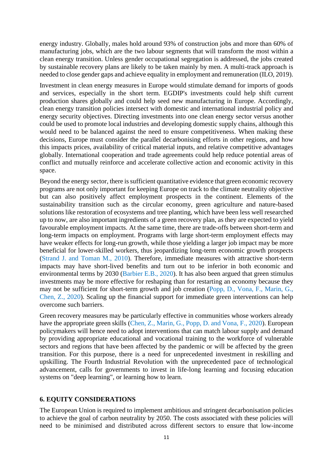energy industry. Globally, males hold around 93% of construction jobs and more than 60% of manufacturing jobs, which are the two labour segments that will transform the most within a clean energy transition. Unless gender occupational segregation is addressed, the jobs created by sustainable recovery plans are likely to be taken mainly by men. A multi-track approach is needed to close gender gaps and achieve equality in employment and remuneration (ILO, 2019).

Investment in clean energy measures in Europe would stimulate demand for imports of goods and services, especially in the short term. EGDIP's investments could help shift current production shares globally and could help seed new manufacturing in Europe. Accordingly, clean energy transition policies intersect with domestic and international industrial policy and energy security objectives. Directing investments into one clean energy sector versus another could be used to promote local industries and developing domestic supply chains, although this would need to be balanced against the need to ensure competitiveness. When making these decisions, Europe must consider the parallel decarbonising efforts in other regions, and how this impacts prices, availability of critical material inputs, and relative competitive advantages globally. International cooperation and trade agreements could help reduce potential areas of conflict and mutually reinforce and accelerate collective action and economic activity in this space.

Beyond the energy sector, there is sufficient quantitative evidence that green economic recovery programs are not only important for keeping Europe on track to the climate neutrality objective but can also positively affect employment prospects in the continent. Elements of the sustainability transition such as the circular economy, green agriculture and nature-based solutions like restoration of ecosystems and tree planting, which have been less well researched up to now, are also important ingredients of a green recovery plan, as they are expected to yield favourable employment impacts. At the same time, there are trade-offs between short-term and long-term impacts on employment. Programs with large short-term employment effects may have weaker effects for long-run growth, while those yielding a larger job impact may be more beneficial for lower-skilled workers, thus jeopardizing long-term economic growth prospects (Strand J. and Toman M., 2010). Therefore, immediate measures with attractive short-term impacts may have short-lived benefits and turn out to be inferior in both economic and environmental terms by 2030 (Barbier E.B., 2020). It has also been argued that green stimulus investments may be more effective for reshaping than for restarting an economy because they may not be sufficient for short-term growth and job creation (Popp, D., Vona, F., Marin, G., Chen, Z., 2020). Scaling up the financial support for immediate green interventions can help overcome such barriers.

Green recovery measures may be particularly effective in communities whose workers already have the appropriate green skills (Chen, Z., Marin, G., Popp, D. and Vona, F., 2020). European policymakers will hence need to adopt interventions that can match labour supply and demand by providing appropriate educational and vocational training to the workforce of vulnerable sectors and regions that have been affected by the pandemic or will be affected by the green transition. For this purpose, there is a need for unprecedented investment in reskilling and upskilling. The Fourth Industrial Revolution with the unprecedented pace of technological advancement, calls for governments to invest in life-long learning and focusing education systems on "deep learning", or learning how to learn.

## **6. EQUITY CONSIDERATIONS**

The European Union is required to implement ambitious and stringent decarbonisation policies to achieve the goal of carbon neutrality by 2050. The costs associated with these policies will need to be minimised and distributed across different sectors to ensure that low-income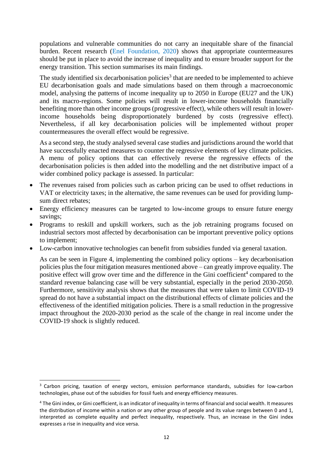populations and vulnerable communities do not carry an inequitable share of the financial burden. Recent research (Enel Foundation, 2020) shows that appropriate countermeasures should be put in place to avoid the increase of inequality and to ensure broader support for the energy transition. This section summarises its main findings.

The study identified six decarbonisation policies<sup>3</sup> that are needed to be implemented to achieve EU decarbonisation goals and made simulations based on them through a macroeconomic model, analysing the patterns of income inequality up to 2050 in Europe (EU27 and the UK) and its macro-regions. Some policies will result in lower-income households financially benefiting more than other income groups (progressive effect), while others will result in lowerincome households being disproportionately burdened by costs (regressive effect). Nevertheless, if all key decarbonisation policies will be implemented without proper countermeasures the overall effect would be regressive.

As a second step, the study analysed several case studies and jurisdictions around the world that have successfully enacted measures to counter the regressive elements of key climate policies. A menu of policy options that can effectively reverse the regressive effects of the decarbonisation policies is then added into the modelling and the net distributive impact of a wider combined policy package is assessed. In particular:

- The revenues raised from policies such as carbon pricing can be used to offset reductions in VAT or electricity taxes; in the alternative, the same revenues can be used for providing lumpsum direct rebates;
- Energy efficiency measures can be targeted to low-income groups to ensure future energy savings;
- Programs to reskill and upskill workers, such as the job retraining programs focused on industrial sectors most affected by decarbonisation can be important preventive policy options to implement;
- Low-carbon innovative technologies can benefit from subsidies funded via general taxation.

As can be seen in Figure 4, implementing the combined policy options – key decarbonisation policies plus the four mitigation measures mentioned above – can greatly improve equality. The positive effect will grow over time and the difference in the Gini coefficient<sup>4</sup> compared to the standard revenue balancing case will be very substantial, especially in the period 2030-2050. Furthermore, sensitivity analysis shows that the measures that were taken to limit COVID-19 spread do not have a substantial impact on the distributional effects of climate policies and the effectiveness of the identified mitigation policies. There is a small reduction in the progressive impact throughout the 2020-2030 period as the scale of the change in real income under the COVID-19 shock is slightly reduced.

<sup>&</sup>lt;sup>3</sup> Carbon pricing, taxation of energy vectors, emission performance standards, subsidies for low-carbon technologies, phase out of the subsidies for fossil fuels and energy efficiency measures.

<sup>4</sup> The Gini index, or Gini coefficient, is an indicator of inequality in terms of financial and social wealth. It measures the distribution of income within a nation or any other group of people and its value ranges between 0 and 1, interpreted as complete equality and perfect inequality, respectively. Thus, an increase in the Gini index expresses a rise in inequality and vice versa.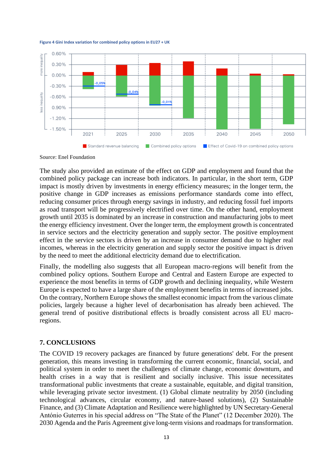**Figure 4 Gini Index variation for combined policy options in EU27 + UK**



Source: Enel Foundation

The study also provided an estimate of the effect on GDP and employment and found that the combined policy package can increase both indicators. In particular, in the short term, GDP impact is mostly driven by investments in energy efficiency measures; in the longer term, the positive change in GDP increases as emissions performance standards come into effect, reducing consumer prices through energy savings in industry, and reducing fossil fuel imports as road transport will be progressively electrified over time. On the other hand, employment growth until 2035 is dominated by an increase in construction and manufacturing jobs to meet the energy efficiency investment. Over the longer term, the employment growth is concentrated in service sectors and the electricity generation and supply sector. The positive employment effect in the service sectors is driven by an increase in consumer demand due to higher real incomes, whereas in the electricity generation and supply sector the positive impact is driven by the need to meet the additional electricity demand due to electrification.

Finally, the modelling also suggests that all European macro-regions will benefit from the combined policy options. Southern Europe and Central and Eastern Europe are expected to experience the most benefits in terms of GDP growth and declining inequality, while Western Europe is expected to have a large share of the employment benefits in terms of increased jobs. On the contrary, Northern Europe shows the smallest economic impact from the various climate policies, largely because a higher level of decarbonisation has already been achieved. The general trend of positive distributional effects is broadly consistent across all EU macroregions.

# **7. CONCLUSIONS**

The COVID 19 recovery packages are financed by future generations' debt. For the present generation, this means investing in transforming the current economic, financial, social, and political system in order to meet the challenges of climate change, economic downturn, and health crises in a way that is resilient and socially inclusive. This issue necessitates transformational public investments that create a sustainable, equitable, and digital transition, while leveraging private sector investment. (1) Global climate neutrality by 2050 (including technological advances, circular economy, and nature-based solutions), (2) Sustainable Finance, and (3) Climate Adaptation and Resilience were highlighted by UN Secretary-General António Guterres in his special address on "The State of the Planet" (12 December 2020). The 2030 Agenda and the Paris Agreement give long-term visions and roadmaps for transformation.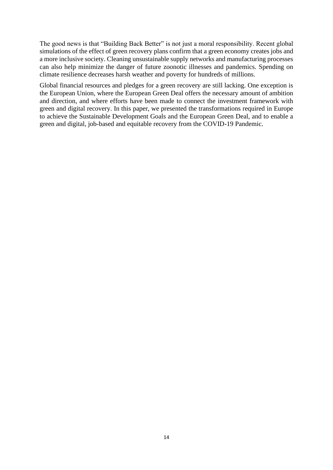The good news is that "Building Back Better" is not just a moral responsibility. Recent global simulations of the effect of green recovery plans confirm that a green economy creates jobs and a more inclusive society. Cleaning unsustainable supply networks and manufacturing processes can also help minimize the danger of future zoonotic illnesses and pandemics. Spending on climate resilience decreases harsh weather and poverty for hundreds of millions.

Global financial resources and pledges for a green recovery are still lacking. One exception is the European Union, where the European Green Deal offers the necessary amount of ambition and direction, and where efforts have been made to connect the investment framework with green and digital recovery. In this paper, we presented the transformations required in Europe to achieve the Sustainable Development Goals and the European Green Deal, and to enable a green and digital, job-based and equitable recovery from the COVID-19 Pandemic.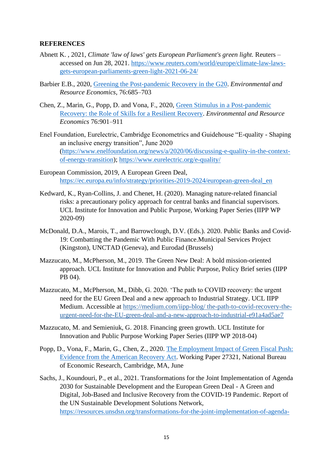# **REFERENCES**

- Abnett K. , 2021, *Climate 'law of laws' gets European Parliament's green light.* Reuters accessed on Jun 28, 2021. [https://www.reuters.com/world/europe/climate-law-laws](https://www.reuters.com/world/europe/climate-law-laws-gets-european-parliaments-green-light-2021-06-24/)[gets-european-parliaments-green-light-2021-06-24/](https://www.reuters.com/world/europe/climate-law-laws-gets-european-parliaments-green-light-2021-06-24/)
- Barbier E.B., 2020, Greening the Post-pandemic Recovery in the G20. *Environmental and Resource Economics*, 76:685–703
- Chen, Z., Marin, G., Popp, D. and Vona, F., 2020, Green Stimulus in a Post-pandemic [Recovery: the Role of Skills for a Resilient Recovery.](https://doi.org/10.1007/s10640-020-00464-7) *Environmental and Resource Economics* 76:901–911
- Enel Foundation, Eurelectric, Cambridge Econometrics and Guidehouse "E-quality Shaping an inclusive energy transition", June 2020 [\(https://www.enelfoundation.org/news/a/2020/06/discussing-e-quality-in-the-context](https://www.enelfoundation.org/news/a/2020/06/discussing-e-quality-in-the-context-of-energy-transition)[of-energy-transition\)](https://www.enelfoundation.org/news/a/2020/06/discussing-e-quality-in-the-context-of-energy-transition);<https://www.eurelectric.org/e-quality/>
- European Commission, 2019, A European Green Deal, [https://ec.europa.eu/info/strategy/priorities-2019-2024/european-green-deal\\_en](https://ec.europa.eu/info/strategy/priorities-2019-2024/european-green-deal_en)
- Kedward, K., Ryan-Collins, J. and Chenet, H. (2020). Managing nature-related financial risks: a precautionary policy approach for central banks and financial supervisors. UCL Institute for Innovation and Public Purpose, Working Paper Series (IIPP WP 2020-09)
- McDonald, D.A., Marois, T., and Barrowclough, D.V. (Eds.). 2020. Public Banks and Covid-19: Combatting the Pandemic With Public Finance.Municipal Services Project (Kingston), UNCTAD (Geneva), and Eurodad (Brussels)
- Mazzucato, M., McPherson, M., 2019. The Green New Deal: A bold mission-oriented approach. UCL Institute for Innovation and Public Purpose, Policy Brief series (IIPP PB 04).
- Mazzucato, M., McPherson, M., Dibb, G. 2020. 'The path to COVID recovery: the urgent need for the EU Green Deal and a new approach to Industrial Strategy. UCL IIPP Medium. Accessible at [https://medium.com/iipp-blog/ the-path-to-covid-recovery-the](https://medium.com/iipp-blog/the-path-to-covid-recovery-the-urgent-need-for-the-eu-green-deal-and-a-)[urgent-need-for-the-EU-green-deal-and-a-new-approach-to-industrial-e91a4ad5ae7](https://medium.com/iipp-blog/the-path-to-covid-recovery-the-urgent-need-for-the-eu-green-deal-and-a-)
- Mazzucato, M. and Semieniuk, G. 2018. Financing green growth. UCL Institute for Innovation and Public Purpose Working Paper Series (IIPP WP 2018-04)
- Popp, D., Vona, F., Marin, G., Chen, Z., 2020. [The Employment Impact of Green Fiscal Push:](http://www.nber.org/papers/w27321)  [Evidence from the American Recovery Act.](http://www.nber.org/papers/w27321) Working Paper 27321, National Bureau of Economic Research, Cambridge, MA, June
- Sachs, J., Koundouri, P., et al., 2021. Transformations for the Joint Implementation of Agenda 2030 for Sustainable Development and the European Green Deal - A Green and Digital, Job-Based and Inclusive Recovery from the COVID-19 Pandemic. Report of the UN Sustainable Development Solutions Network, [https://resources.unsdsn.org/transformations-for-the-joint-implementation-of-agenda-](https://resources.unsdsn.org/transformations-for-the-joint-implementation-of-agenda-2030-the-sustainable-development-goals-and-the-european-green-deal-a-green-and-digital-job-based-and-inclusive-recovery-from-covid-19-pandemic)